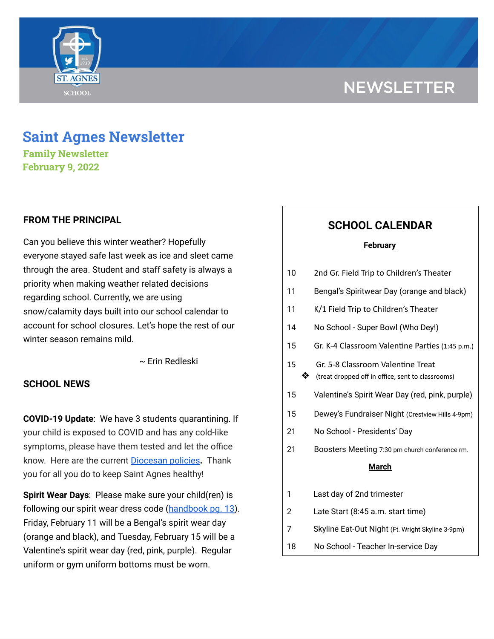# **NEWSLETTER**



# **Saint Agnes Newsletter**

**Family Newsletter February 9, 2022**

## **FROM THE PRINCIPAL**

Can you believe this winter weather? Hopefully everyone stayed safe last week as ice and sleet came through the area. Student and staff safety is always a priority when making weather related decisions regarding school. Currently, we are using snow/calamity days built into our school calendar to account for school closures. Let's hope the rest of our winter season remains mild.

~ Erin Redleski

## **SCHOOL NEWS**

**COVID-19 Update**: We have 3 students quarantining. If your child is exposed to COVID and has any cold-like symptoms, please have them tested and let the office know. Here are the current [Diocesan](https://school.saintagnes.com/wp-content/uploads/2022/01/COVID-19-School-Requirements-2021-2022-January-Update.pdf) policies**.** Thank you for all you do to keep Saint Agnes healthy!

**Spirit Wear Days**: Please make sure your child(ren) is following our spirit wear dress code [\(handbook](https://school.saintagnes.com/wp-content/uploads/2021/08/Parent-Student-Handbook-2021-22.docx-1.pdf) pg. 13). Friday, February 11 will be a Bengal's spirit wear day (orange and black), and Tuesday, February 15 will be a Valentine's spirit wear day (red, pink, purple). Regular uniform or gym uniform bottoms must be worn.

# **SCHOOL CALENDAR**

### **February**

| 10 |    | 2nd Gr. Field Trip to Children's Theater                                               |
|----|----|----------------------------------------------------------------------------------------|
| 11 |    | Bengal's Spiritwear Day (orange and black)                                             |
| 11 |    | K/1 Field Trip to Children's Theater                                                   |
| 14 |    | No School - Super Bowl (Who Dey!)                                                      |
| 15 |    | Gr. K-4 Classroom Valentine Parties (1:45 p.m.)                                        |
| 15 | X, | Gr. 5-8 Classroom Valentine Treat<br>(treat dropped off in office, sent to classrooms) |
| 15 |    | Valentine's Spirit Wear Day (red, pink, purple)                                        |
| 15 |    | Dewey's Fundraiser Night (Crestview Hills 4-9pm)                                       |
| 21 |    | No School - Presidents' Day                                                            |
| 21 |    | Boosters Meeting 7:30 pm church conference rm.                                         |
|    |    | <b>March</b>                                                                           |
| 1  |    | Last day of 2nd trimester                                                              |
| 2  |    | Late Start (8:45 a.m. start time)                                                      |
| 7  |    | Skyline Eat-Out Night (Ft. Wright Skyline 3-9pm)                                       |
| 18 |    | No School - Teacher In-service Day                                                     |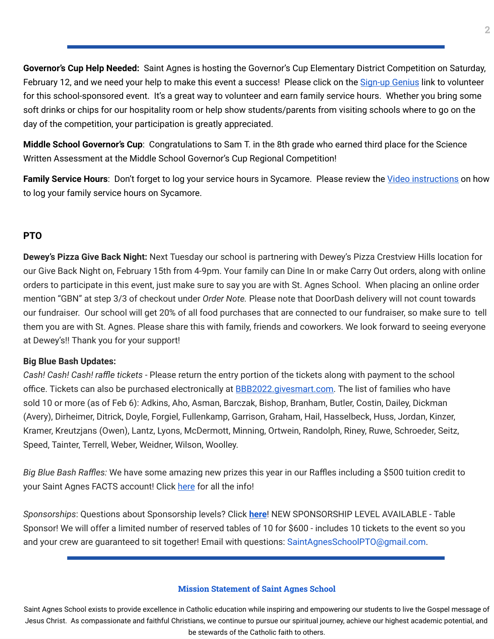**Governor's Cup Help Needed:** Saint Agnes is hosting the Governor's Cup Elementary District Competition on Saturday, February 12, and we need your help to make this event a success! Please click on the [Sign-up](https://www.signupgenius.com/go/70A0C4EAAA728A7FF2-academic) Genius link to volunteer for this school-sponsored event. It's a great way to volunteer and earn family service hours. Whether you bring some soft drinks or chips for our hospitality room or help show students/parents from visiting schools where to go on the day of the competition, your participation is greatly appreciated.

**Middle School Governor's Cup**: Congratulations to Sam T. in the 8th grade who earned third place for the Science Written Assessment at the Middle School Governor's Cup Regional Competition!

Family Service Hours: Don't forget to log your service hours in Sycamore. Please review the *Video [instructions](https://drive.google.com/file/d/1cmYj9N-NF2btSiiG8QdTD20q2RJRpwk7/view?usp=sharing)* on how to log your family service hours on Sycamore.

## **PTO**

**Dewey's Pizza Give Back Night:** Next Tuesday our school is partnering with Dewey's Pizza Crestview Hills location for our Give Back Night on, February 15th from 4-9pm. Your family can Dine In or make Carry Out orders, along with online orders to participate in this event, just make sure to say you are with St. Agnes School. When placing an online order mention "GBN" at step 3/3 of checkout under *Order Note.* Please note that DoorDash delivery will not count towards our fundraiser. Our school will get 20% of all food purchases that are connected to our fundraiser, so make sure to tell them you are with St. Agnes. Please share this with family, friends and coworkers. We look forward to seeing everyone at Dewey's!! Thank you for your support!

## **Big Blue Bash Updates:**

*Cash! Cash! Cash! raffle tickets* - Please return the entry portion of the tickets along with payment to the school office. Tickets can also be purchased electronically at **[BBB2022.givesmart.com](http://bbb2022.givesmart.com/)**. The list of families who have sold 10 or more (as of Feb 6): Adkins, Aho, Asman, Barczak, Bishop, Branham, Butler, Costin, Dailey, Dickman (Avery), Dirheimer, Ditrick, Doyle, Forgiel, Fullenkamp, Garrison, Graham, Hail, Hasselbeck, Huss, Jordan, Kinzer, Kramer, Kreutzjans (Owen), Lantz, Lyons, McDermott, Minning, Ortwein, Randolph, Riney, Ruwe, Schroeder, Seitz, Speed, Tainter, Terrell, Weber, Weidner, Wilson, Woolley.

*Big Blue Bash Raffles:* We have some amazing new prizes this year in our Raffles including a \$500 tuition credit to your Saint Agnes FACTS account! Click [here](https://www.facebook.com/saintagnesbigbluebash) for all the info!

*Sponsorships*: Questions about Sponsorship levels? Click **[here](https://www.facebook.com/saintagnesbigbluebash/)**! NEW SPONSORSHIP LEVEL AVAILABLE - Table Sponsor! We will offer a limited number of reserved tables of 10 for \$600 - includes 10 tickets to the event so you and your crew are guaranteed to sit together! Email with questions: SaintAgnesSchoolPTO@gmail.com.

#### **Mission Statement of Saint Agnes School**

Saint Agnes School exists to provide excellence in Catholic education while inspiring and empowering our students to live the Gospel message of Jesus Christ. As compassionate and faithful Christians, we continue to pursue our spiritual journey, achieve our highest academic potential, and be stewards of the Catholic faith to others.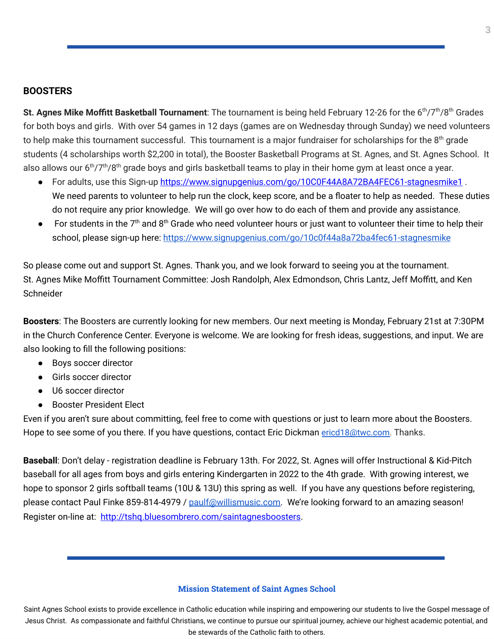### **BOOSTERS**

St. Agnes Mike Moffitt Basketball Tournament: The tournament is being held February 12-26 for the 6<sup>th</sup>/7<sup>th</sup>/8<sup>th</sup> Grades for both boys and girls. With over 54 games in 12 days (games are on Wednesday through Sunday) we need volunteers to help make this tournament successful. This tournament is a major fundraiser for scholarships for the 8<sup>th</sup> grade students (4 scholarships worth \$2,200 in total), the Booster Basketball Programs at St. Agnes, and St. Agnes School. It also allows our 6<sup>th</sup>/7<sup>th</sup>/8<sup>th</sup> grade boys and girls basketball teams to play in their home gym at least once a year.

- For adults, use this Sign-up [https://www.signupgenius.com/go/10C0F44A8A72BA4FEC61-stagnesmike1](https://urldefense.com/v3/__https:/www.signupgenius.com/go/10C0F44A8A72BA4FEC61-stagnesmike1__;!!CsmrWXz9mOkSc4Hdn1fjj00!jwR-REy8AGCF2IpGiOowN0ivH-mWA5nS93DPpSS4wLzvKpgQnUO_qi84Gq2mm5KD$). We need parents to volunteer to help run the clock, keep score, and be a floater to help as needed. These duties do not require any prior knowledge. We will go over how to do each of them and provide any assistance.
- $\bullet$  For students in the 7<sup>th</sup> and 8<sup>th</sup> Grade who need volunteer hours or just want to volunteer their time to help their school, please sign-up here: <https://www.signupgenius.com/go/10c0f44a8a72ba4fec61-stagnesmike>

So please come out and support St. Agnes. Thank you, and we look forward to seeing you at the tournament. St. Agnes Mike Moffitt Tournament Committee: Josh Randolph, Alex Edmondson, Chris Lantz, Jeff Moffitt, and Ken **Schneider** 

**Boosters**: The Boosters are currently looking for new members. Our next meeting is Monday, February 21st at 7:30PM in the Church Conference Center. Everyone is welcome. We are looking for fresh ideas, suggestions, and input. We are also looking to fill the following positions:

- Boys soccer director
- Girls soccer director
- U6 soccer director
- Booster President Elect

Even if you aren't sure about committing, feel free to come with questions or just to learn more about the Boosters. Hope to see some of you there. If you have questions, contact Eric Dickman [ericd18@twc.com](mailto:ericd18@twc.com). Thanks.

**Baseball**: Don't delay - registration deadline is February 13th. For 2022, St. Agnes will offer Instructional & Kid-Pitch baseball for all ages from boys and girls entering Kindergarten in 2022 to the 4th grade. With growing interest, we hope to sponsor 2 girls softball teams (10U & 13U) this spring as well. If you have any questions before registering, please contact Paul Finke 859-814-4979 / [paulf@willismusic.com.](mailto:paulf@willismusic.com) We're looking forward to an amazing season! Register on-line at: [http://tshq.bluesombrero.com/saintagnesboosters.](http://tshq.bluesombrero.com/saintagnesboosters)

#### **Mission Statement of Saint Agnes School**

Saint Agnes School exists to provide excellence in Catholic education while inspiring and empowering our students to live the Gospel message of Jesus Christ. As compassionate and faithful Christians, we continue to pursue our spiritual journey, achieve our highest academic potential, and be stewards of the Catholic faith to others.